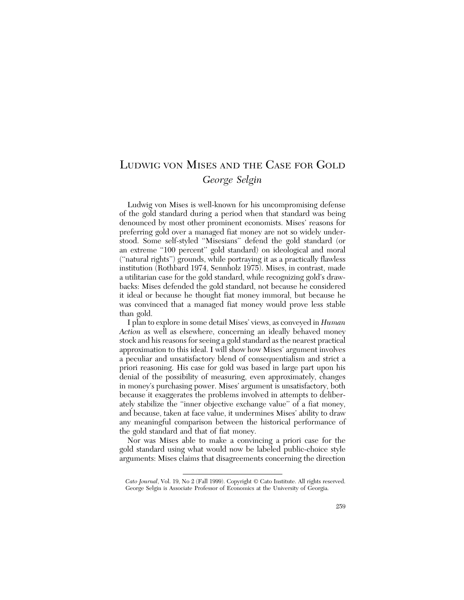# LUDWIG VON MISES AND THE CASE FOR GOLD *George Selgin*

Ludwig von Mises is well-known for his uncompromising defense of the gold standard during a period when that standard was being denounced by most other prominent economists. Mises' reasons for preferring gold over a managed fiat money are not so widely understood. Some self-styled ''Misesians'' defend the gold standard (or an extreme "100 percent" gold standard) on ideological and moral (''natural rights'') grounds, while portraying it as a practically flawless institution (Rothbard 1974, Sennholz 1975). Mises, in contrast, made a utilitarian case for the gold standard, while recognizing gold's drawbacks: Mises defended the gold standard, not because he considered it ideal or because he thought fiat money immoral, but because he was convinced that a managed fiat money would prove less stable than gold.

I plan to explore in some detail Mises' views, as conveyed in *Human Action* as well as elsewhere, concerning an ideally behaved money stock and his reasons for seeing a gold standard as the nearest practical approximation to this ideal. I will show how Mises' argument involves a peculiar and unsatisfactory blend of consequentialism and strict a priori reasoning. His case for gold was based in large part upon his denial of the possibility of measuring, even approximately, changes in money's purchasing power. Mises' argument is unsatisfactory, both because it exaggerates the problems involved in attempts to deliberately stabilize the ''inner objective exchange value'' of a fiat money, and because, taken at face value, it undermines Mises' ability to draw any meaningful comparison between the historical performance of the gold standard and that of fiat money.

Nor was Mises able to make a convincing a priori case for the gold standard using what would now be labeled public-choice style arguments: Mises claims that disagreements concerning the direction

*Cato Journal*, Vol. 19, No 2 (Fall 1999). Copyright © Cato Institute. All rights reserved. George Selgin is Associate Professor of Economics at the University of Georgia.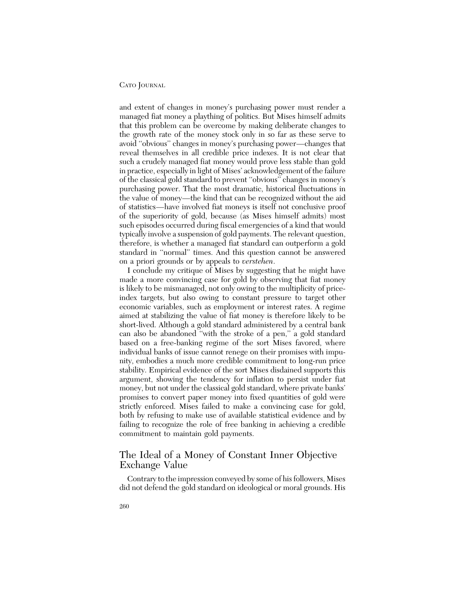and extent of changes in money's purchasing power must render a managed fiat money a plaything of politics. But Mises himself admits that this problem can be overcome by making deliberate changes to the growth rate of the money stock only in so far as these serve to avoid ''obvious'' changes in money's purchasing power—changes that reveal themselves in all credible price indexes. It is not clear that such a crudely managed fiat money would prove less stable than gold in practice, especially in light of Mises' acknowledgement of the failure of the classical gold standard to prevent ''obvious'' changes in money's purchasing power. That the most dramatic, historical fluctuations in the value of money—the kind that can be recognized without the aid of statistics—have involved fiat moneys is itself not conclusive proof of the superiority of gold, because (as Mises himself admits) most such episodes occurred during fiscal emergencies of a kind that would typically involve a suspension of gold payments. The relevant question, therefore, is whether a managed fiat standard can outperform a gold standard in ''normal'' times. And this question cannot be answered on a priori grounds or by appeals to *verstehen*.

I conclude my critique of Mises by suggesting that he might have made a more convincing case for gold by observing that fiat money is likely to be mismanaged, not only owing to the multiplicity of priceindex targets, but also owing to constant pressure to target other economic variables, such as employment or interest rates. A regime aimed at stabilizing the value of fiat money is therefore likely to be short-lived. Although a gold standard administered by a central bank can also be abandoned ''with the stroke of a pen,'' a gold standard based on a free-banking regime of the sort Mises favored, where individual banks of issue cannot renege on their promises with impunity, embodies a much more credible commitment to long-run price stability. Empirical evidence of the sort Mises disdained supports this argument, showing the tendency for inflation to persist under fiat money, but not under the classical gold standard, where private banks' promises to convert paper money into fixed quantities of gold were strictly enforced. Mises failed to make a convincing case for gold, both by refusing to make use of available statistical evidence and by failing to recognize the role of free banking in achieving a credible commitment to maintain gold payments.

#### The Ideal of a Money of Constant Inner Objective Exchange Value

Contrary to the impression conveyed by some of his followers, Mises did not defend the gold standard on ideological or moral grounds. His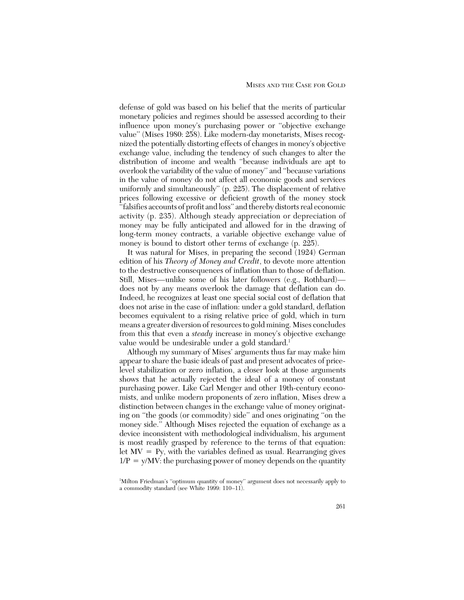defense of gold was based on his belief that the merits of particular monetary policies and regimes should be assessed according to their influence upon money's purchasing power or ''objective exchange value'' (Mises 1980: 258). Like modern-day monetarists, Mises recognized the potentially distorting effects of changes in money's objective exchange value, including the tendency of such changes to alter the distribution of income and wealth ''because individuals are apt to overlook the variability of the value of money'' and ''because variations in the value of money do not affect all economic goods and services uniformly and simultaneously'' (p. 225). The displacement of relative prices following excessive or deficient growth of the money stock ''falsifies accounts of profit and loss'' and thereby distorts real economic activity (p. 235). Although steady appreciation or depreciation of money may be fully anticipated and allowed for in the drawing of long-term money contracts, a variable objective exchange value of money is bound to distort other terms of exchange (p. 225).

It was natural for Mises, in preparing the second (1924) German edition of his *Theory of Money and Credit*, to devote more attention to the destructive consequences of inflation than to those of deflation. Still, Mises—unlike some of his later followers (e.g., Rothbard) does not by any means overlook the damage that deflation can do. Indeed, he recognizes at least one special social cost of deflation that does not arise in the case of inflation: under a gold standard, deflation becomes equivalent to a rising relative price of gold, which in turn means a greater diversion of resources to gold mining. Mises concludes from this that even a *steady* increase in money's objective exchange value would be undesirable under a gold standard.<sup>1</sup>

Although my summary of Mises' arguments thus far may make him appear to share the basic ideals of past and present advocates of pricelevel stabilization or zero inflation, a closer look at those arguments shows that he actually rejected the ideal of a money of constant purchasing power. Like Carl Menger and other 19th-century economists, and unlike modern proponents of zero inflation, Mises drew a distinction between changes in the exchange value of money originating on ''the goods (or commodity) side'' and ones originating ''on the money side.'' Although Mises rejected the equation of exchange as a device inconsistent with methodological individualism, his argument is most readily grasped by reference to the terms of that equation: let  $MV = Py$ , with the variables defined as usual. Rearranging gives  $1/P = y/MV$ : the purchasing power of money depends on the quantity

<sup>1</sup> Milton Friedman's ''optimum quantity of money'' argument does not necessarily apply to a commodity standard (see White 1999: 110–11).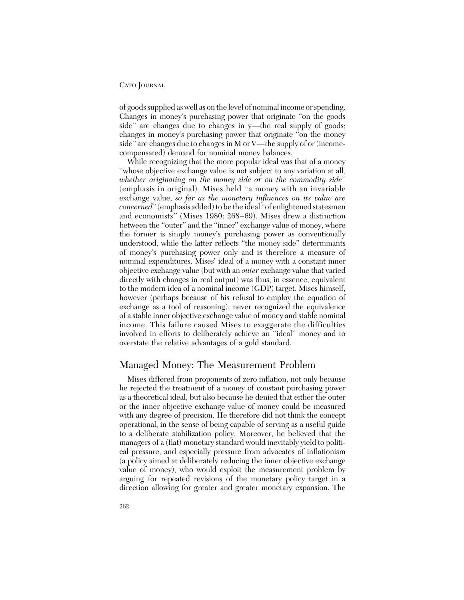of goods supplied as well as on the level of nominal income or spending. Changes in money's purchasing power that originate ''on the goods side'' are changes due to changes in y—the real supply of goods; changes in money's purchasing power that originate ''on the money side'' are changes due to changes in M or V—the supply of or (incomecompensated) demand for nominal money balances.

While recognizing that the more popular ideal was that of a money ''whose objective exchange value is not subject to any variation at all, *whether originating on the money side or on the commodity side*'' (emphasis in original), Mises held ''a money with an invariable exchange value, *so far as the monetary influences on its value are concerned*'' (emphasis added) to be the ideal ''of enlightened statesmen and economists'' (Mises 1980: 268–69). Mises drew a distinction between the "outer" and the "inner" exchange value of money, where the former is simply money's purchasing power as conventionally understood, while the latter reflects ''the money side'' determinants of money's purchasing power only and is therefore a measure of nominal expenditures. Mises' ideal of a money with a constant inner objective exchange value (but with an *outer* exchange value that varied directly with changes in real output) was thus, in essence, equivalent to the modern idea of a nominal income (GDP) target. Mises himself, however (perhaps because of his refusal to employ the equation of exchange as a tool of reasoning), never recognized the equivalence of a stable inner objective exchange value of money and stable nominal income. This failure caused Mises to exaggerate the difficulties involved in efforts to deliberately achieve an ''ideal'' money and to overstate the relative advantages of a gold standard.

# Managed Money: The Measurement Problem

Mises differed from proponents of zero inflation, not only because he rejected the treatment of a money of constant purchasing power as a theoretical ideal, but also because he denied that either the outer or the inner objective exchange value of money could be measured with any degree of precision. He therefore did not think the concept operational, in the sense of being capable of serving as a useful guide to a deliberate stabilization policy. Moreover, he believed that the managers of a (fiat) monetary standard would inevitably yield to political pressure, and especially pressure from advocates of inflationism (a policy aimed at deliberately reducing the inner objective exchange value of money), who would exploit the measurement problem by arguing for repeated revisions of the monetary policy target in a direction allowing for greater and greater monetary expansion. The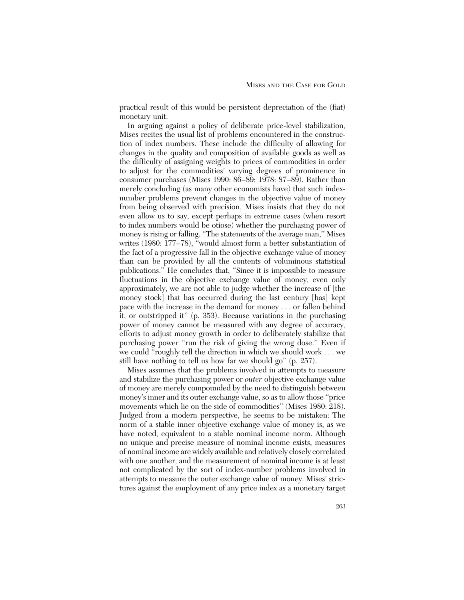practical result of this would be persistent depreciation of the (fiat) monetary unit.

In arguing against a policy of deliberate price-level stabilization, Mises recites the usual list of problems encountered in the construction of index numbers. These include the difficulty of allowing for changes in the quality and composition of available goods as well as the difficulty of assigning weights to prices of commodities in order to adjust for the commodities' varying degrees of prominence in consumer purchases (Mises 1990: 86–89; 1978: 87–89). Rather than merely concluding (as many other economists have) that such indexnumber problems prevent changes in the objective value of money from being observed with precision, Mises insists that they do not even allow us to say, except perhaps in extreme cases (when resort to index numbers would be otiose) whether the purchasing power of money is rising or falling. ''The statements of the average man,'' Mises writes (1980: 177–78), "would almost form a better substantiation of the fact of a progressive fall in the objective exchange value of money than can be provided by all the contents of voluminous statistical publications.'' He concludes that, ''Since it is impossible to measure fluctuations in the objective exchange value of money, even only approximately, we are not able to judge whether the increase of [the money stock] that has occurred during the last century [has] kept pace with the increase in the demand for money . . . or fallen behind it, or outstripped it'' (p. 353). Because variations in the purchasing power of money cannot be measured with any degree of accuracy, efforts to adjust money growth in order to deliberately stabilize that purchasing power ''run the risk of giving the wrong dose.'' Even if we could ''roughly tell the direction in which we should work . . . we still have nothing to tell us how far we should go'' (p. 257).

Mises assumes that the problems involved in attempts to measure and stabilize the purchasing power or *outer* objective exchange value of money are merely compounded by the need to distinguish between money's inner and its outer exchange value, so as to allow those ''price movements which lie on the side of commodities'' (Mises 1980: 218). Judged from a modern perspective, he seems to be mistaken: The norm of a stable inner objective exchange value of money is, as we have noted, equivalent to a stable nominal income norm. Although no unique and precise measure of nominal income exists, measures of nominal income are widely available and relatively closely correlated with one another, and the measurement of nominal income is at least not complicated by the sort of index-number problems involved in attempts to measure the outer exchange value of money. Mises' strictures against the employment of any price index as a monetary target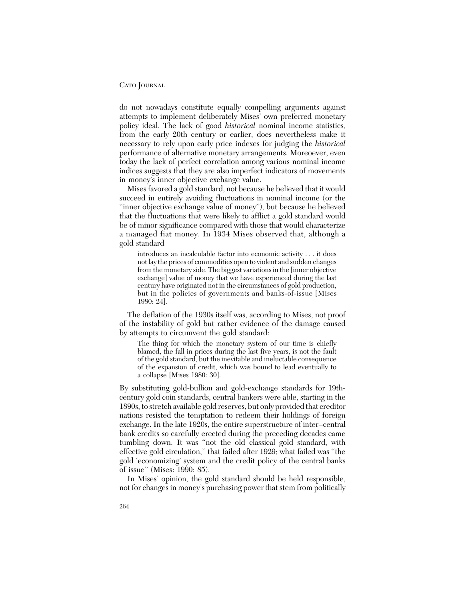#### CATO JOURNAL

do not nowadays constitute equally compelling arguments against attempts to implement deliberately Mises' own preferred monetary policy ideal. The lack of good *historical* nominal income statistics, from the early 20th century or earlier, does nevertheless make it necessary to rely upon early price indexes for judging the *historical* performance of alternative monetary arrangements. Moreoever, even today the lack of perfect correlation among various nominal income indices suggests that they are also imperfect indicators of movements in money's inner objective exchange value.

Mises favored a gold standard, not because he believed that it would succeed in entirely avoiding fluctuations in nominal income (or the ''inner objective exchange value of money''), but because he believed that the fluctuations that were likely to afflict a gold standard would be of minor significance compared with those that would characterize a managed fiat money. In 1934 Mises observed that, although a gold standard

introduces an incalculable factor into economic activity . . . it does not lay the prices of commodities open to violent and sudden changes from the monetary side. The biggest variations in the [inner objective exchange] value of money that we have experienced during the last century have originated not in the circumstances of gold production, but in the policies of governments and banks-of-issue [Mises 1980: 24].

The deflation of the 1930s itself was, according to Mises, not proof of the instability of gold but rather evidence of the damage caused by attempts to circumvent the gold standard:

The thing for which the monetary system of our time is chiefly blamed, the fall in prices during the last five years, is not the fault of the gold standard, but the inevitable and ineluctable consequence of the expansion of credit, which was bound to lead eventually to a collapse [Mises 1980: 30].

By substituting gold-bullion and gold-exchange standards for 19thcentury gold coin standards, central bankers were able, starting in the 1890s, to stretch available gold reserves, but only provided that creditor nations resisted the temptation to redeem their holdings of foreign exchange. In the late 1920s, the entire superstructure of inter–central bank credits so carefully erected during the preceding decades came tumbling down. It was ''not the old classical gold standard, with effective gold circulation,'' that failed after 1929; what failed was ''the gold 'economizing' system and the credit policy of the central banks of issue'' (Mises: 1990: 85).

In Mises' opinion, the gold standard should be held responsible, not for changes in money's purchasing power that stem from politically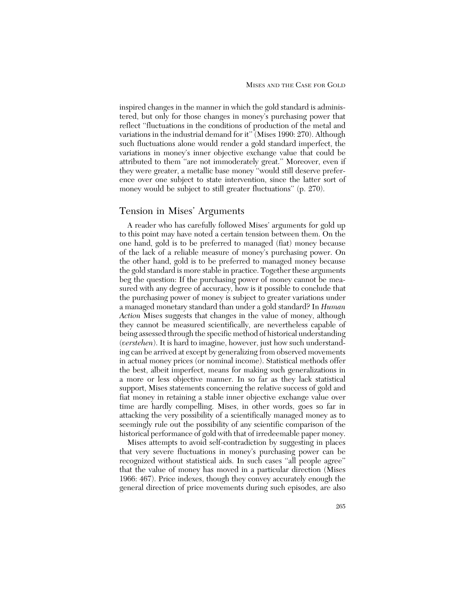inspired changes in the manner in which the gold standard is administered, but only for those changes in money's purchasing power that reflect ''fluctuations in the conditions of production of the metal and variations in the industrial demand for it'' (Mises 1990: 270). Although such fluctuations alone would render a gold standard imperfect, the variations in money's inner objective exchange value that could be attributed to them ''are not immoderately great.'' Moreover, even if they were greater, a metallic base money ''would still deserve preference over one subject to state intervention, since the latter sort of money would be subject to still greater fluctuations" (p. 270).

#### Tension in Mises' Arguments

A reader who has carefully followed Mises' arguments for gold up to this point may have noted a certain tension between them. On the one hand, gold is to be preferred to managed (fiat) money because of the lack of a reliable measure of money's purchasing power. On the other hand, gold is to be preferred to managed money because the gold standard is more stable in practice. Together these arguments beg the question: If the purchasing power of money cannot be measured with any degree of accuracy, how is it possible to conclude that the purchasing power of money is subject to greater variations under a managed monetary standard than under a gold standard? In *Human Action* Mises suggests that changes in the value of money, although they cannot be measured scientifically, are nevertheless capable of being assessed through the specific method of historical understanding (*verstehen*). It is hard to imagine, however, just how such understanding can be arrived at except by generalizing from observed movements in actual money prices (or nominal income). Statistical methods offer the best, albeit imperfect, means for making such generalizations in a more or less objective manner. In so far as they lack statistical support, Mises statements concerning the relative success of gold and fiat money in retaining a stable inner objective exchange value over time are hardly compelling. Mises, in other words, goes so far in attacking the very possibility of a scientifically managed money as to seemingly rule out the possibility of any scientific comparison of the historical performance of gold with that of irredeemable paper money.

Mises attempts to avoid self-contradiction by suggesting in places that very severe fluctuations in money's purchasing power can be recognized without statistical aids. In such cases ''all people agree'' that the value of money has moved in a particular direction (Mises 1966: 467). Price indexes, though they convey accurately enough the general direction of price movements during such episodes, are also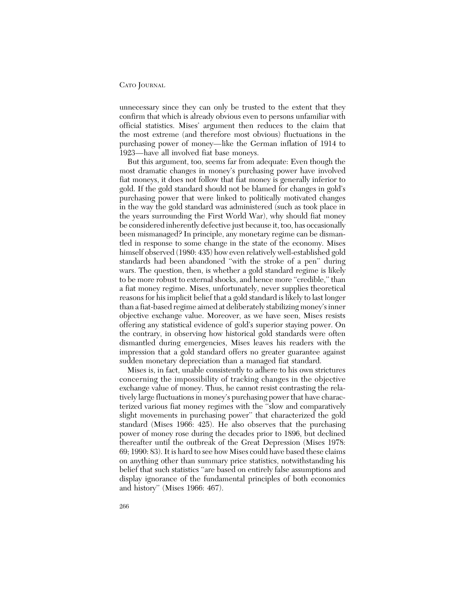unnecessary since they can only be trusted to the extent that they confirm that which is already obvious even to persons unfamiliar with official statistics. Mises' argument then reduces to the claim that the most extreme (and therefore most obvious) fluctuations in the purchasing power of money—like the German inflation of 1914 to 1923—have all involved fiat base moneys.

But this argument, too, seems far from adequate: Even though the most dramatic changes in money's purchasing power have involved fiat moneys, it does not follow that fiat money is generally inferior to gold. If the gold standard should not be blamed for changes in gold's purchasing power that were linked to politically motivated changes in the way the gold standard was administered (such as took place in the years surrounding the First World War), why should fiat money be considered inherently defective just because it, too, has occasionally been mismanaged? In principle, any monetary regime can be dismantled in response to some change in the state of the economy. Mises himself observed (1980: 435) how even relatively well-established gold standards had been abandoned ''with the stroke of a pen'' during wars. The question, then, is whether a gold standard regime is likely to be more robust to external shocks, and hence more ''credible,'' than a fiat money regime. Mises, unfortunately, never supplies theoretical reasons for his implicit belief that a gold standard is likely to last longer than a fiat-based regime aimed at deliberately stabilizing money's inner objective exchange value. Moreover, as we have seen, Mises resists offering any statistical evidence of gold's superior staying power. On the contrary, in observing how historical gold standards were often dismantled during emergencies, Mises leaves his readers with the impression that a gold standard offers no greater guarantee against sudden monetary depreciation than a managed fiat standard.

Mises is, in fact, unable consistently to adhere to his own strictures concerning the impossibility of tracking changes in the objective exchange value of money. Thus, he cannot resist contrasting the relatively large fluctuations in money's purchasing power that have characterized various fiat money regimes with the ''slow and comparatively slight movements in purchasing power'' that characterized the gold standard (Mises 1966: 425). He also observes that the purchasing power of money rose during the decades prior to 1896, but declined thereafter until the outbreak of the Great Depression (Mises 1978: 69; 1990: 83). It is hard to see how Mises could have based these claims on anything other than summary price statistics, notwithstanding his belief that such statistics ''are based on entirely false assumptions and display ignorance of the fundamental principles of both economics and history'' (Mises 1966: 467).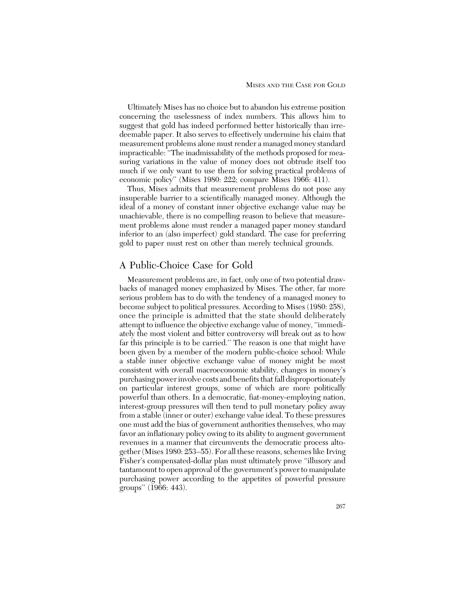Ultimately Mises has no choice but to abandon his extreme position concerning the uselessness of index numbers. This allows him to suggest that gold has indeed performed better historically than irredeemable paper. It also serves to effectively undermine his claim that measurement problems alone must render a managed money standard impracticable: ''The inadmissability of the methods proposed for measuring variations in the value of money does not obtrude itself too much if we only want to use them for solving practical problems of economic policy'' (Mises 1980: 222; compare Mises 1966: 411).

Thus, Mises admits that measurement problems do not pose any insuperable barrier to a scientifically managed money. Although the ideal of a money of constant inner objective exchange value may be unachievable, there is no compelling reason to believe that measurement problems alone must render a managed paper money standard inferior to an (also imperfect) gold standard. The case for preferring gold to paper must rest on other than merely technical grounds.

# A Public-Choice Case for Gold

Measurement problems are, in fact, only one of two potential drawbacks of managed money emphasized by Mises. The other, far more serious problem has to do with the tendency of a managed money to become subject to political pressures. According to Mises (1980: 258), once the principle is admitted that the state should deliberately attempt to influence the objective exchange value of money, ''immediately the most violent and bitter controversy will break out as to how far this principle is to be carried.'' The reason is one that might have been given by a member of the modern public-choice school: While a stable inner objective exchange value of money might be most consistent with overall macroeconomic stability, changes in money's purchasing power involve costs and benefits that fall disproportionately on particular interest groups, some of which are more politically powerful than others. In a democratic, fiat-money-employing nation, interest-group pressures will then tend to pull monetary policy away from a stable (inner or outer) exchange value ideal. To these pressures one must add the bias of government authorities themselves, who may favor an inflationary policy owing to its ability to augment government revenues in a manner that circumvents the democratic process altogether (Mises 1980: 253–55). For all these reasons, schemes like Irving Fisher's compensated-dollar plan must ultimately prove ''illusory and tantamount to open approval of the government's power to manipulate purchasing power according to the appetites of powerful pressure groups'' (1966: 443).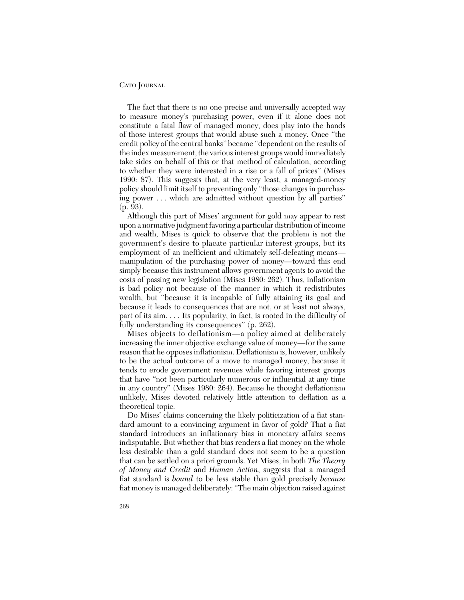The fact that there is no one precise and universally accepted way to measure money's purchasing power, even if it alone does not constitute a fatal flaw of managed money, does play into the hands of those interest groups that would abuse such a money. Once ''the credit policy of the central banks'' became ''dependent on the results of the index measurement, the various interest groups would immediately take sides on behalf of this or that method of calculation, according to whether they were interested in a rise or a fall of prices'' (Mises 1990: 87). This suggests that, at the very least, a managed-money policy should limit itself to preventing only ''those changes in purchasing power . . . which are admitted without question by all parties'' (p. 93).

Although this part of Mises' argument for gold may appear to rest upon a normative judgment favoring a particular distribution of income and wealth, Mises is quick to observe that the problem is not the government's desire to placate particular interest groups, but its employment of an inefficient and ultimately self-defeating means manipulation of the purchasing power of money—toward this end simply because this instrument allows government agents to avoid the costs of passing new legislation (Mises 1980: 262). Thus, inflationism is bad policy not because of the manner in which it redistributes wealth, but ''because it is incapable of fully attaining its goal and because it leads to consequences that are not, or at least not always, part of its aim. . . . Its popularity, in fact, is rooted in the difficulty of fully understanding its consequences" (p. 262).

Mises objects to deflationism—a policy aimed at deliberately increasing the inner objective exchange value of money—for the same reason that he opposes inflationism. Deflationism is, however, unlikely to be the actual outcome of a move to managed money, because it tends to erode government revenues while favoring interest groups that have ''not been particularly numerous or influential at any time in any country'' (Mises 1980: 264). Because he thought deflationism unlikely, Mises devoted relatively little attention to deflation as a theoretical topic.

Do Mises' claims concerning the likely politicization of a fiat standard amount to a convincing argument in favor of gold? That a fiat standard introduces an inflationary bias in monetary affairs seems indisputable. But whether that bias renders a fiat money on the whole less desirable than a gold standard does not seem to be a question that can be settled on a priori grounds. Yet Mises, in both *The Theory of Money and Credit* and *Human Action*, suggests that a managed fiat standard is *bound* to be less stable than gold precisely *because* fiat money is managed deliberately: ''The main objection raised against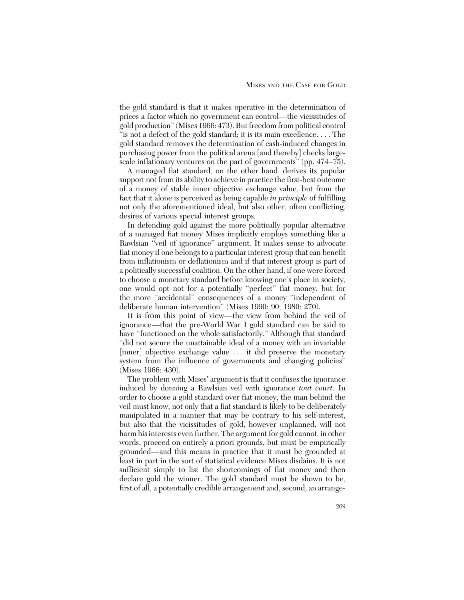the gold standard is that it makes operative in the determination of prices a factor which no government can control—the vicissitudes of gold production'' (Mises 1966: 473). But freedom from political control "is not a defect of the gold standard; it is its main excellence.... The gold standard removes the determination of cash-induced changes in purchasing power from the political arena [and thereby] checks largescale inflationary ventures on the part of governments'' (pp. 474–75).

A managed fiat standard, on the other hand, derives its popular support not from its ability to achieve in practice the first-best outcome of a money of stable inner objective exchange value, but from the fact that it alone is perceived as being capable *in principle* of fulfilling not only the aforementioned ideal, but also other, often conflicting, desires of various special interest groups.

In defending gold against the more politically popular alternative of a managed fiat money Mises implicitly employs something like a Rawlsian ''veil of ignorance'' argument. It makes sense to advocate fiat money if one belongs to a particular interest group that can benefit from inflationism or deflationism and if that interest group is part of a politically successful coalition. On the other hand, if one were forced to choose a monetary standard before knowing one's place in society, one would opt not for a potentially ''perfect'' fiat money, but for the more ''accidental'' consequences of a money ''independent of deliberate human intervention'' (Mises 1990: 90; 1980: 270).

It is from this point of view—the view from behind the veil of ignorance—that the pre-World War I gold standard can be said to have "functioned on the whole satisfactorily." Although that standard ''did not secure the unattainable ideal of a money with an invariable [inner] objective exchange value ... it did preserve the monetary system from the influence of governments and changing policies'' (Mises 1966: 430).

The problem with Mises' argument is that it confuses the ignorance induced by donning a Rawlsian veil with ignorance *tout court*. In order to choose a gold standard over fiat money, the man behind the veil must know, not only that a fiat standard is likely to be deliberately manipulated in a manner that may be contrary to his self-interest, but also that the vicissitudes of gold, however unplanned, will not harm his interests even further. The argument for gold cannot, in other words, proceed on entirely a priori grounds, but must be empirically grounded—and this means in practice that it must be grounded at least in part in the sort of statistical evidence Mises disdains. It is not sufficient simply to list the shortcomings of fiat money and then declare gold the winner. The gold standard must be shown to be, first of all, a potentially credible arrangement and, second, an arrange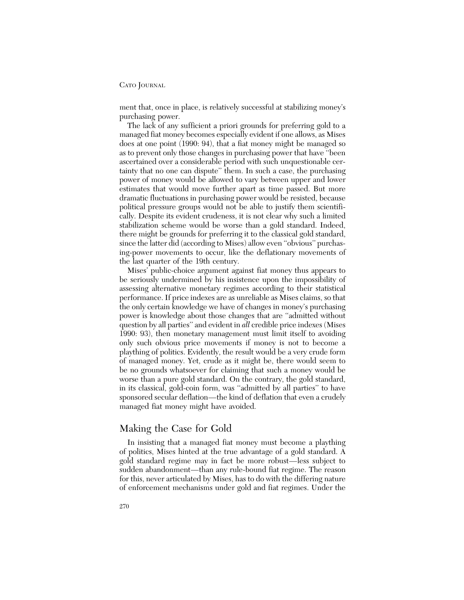CATO JOURNAL

ment that, once in place, is relatively successful at stabilizing money's purchasing power.

The lack of any sufficient a priori grounds for preferring gold to a managed fiat money becomes especially evident if one allows, as Mises does at one point (1990: 94), that a fiat money might be managed so as to prevent only those changes in purchasing power that have ''been ascertained over a considerable period with such unquestionable certainty that no one can dispute'' them. In such a case, the purchasing power of money would be allowed to vary between upper and lower estimates that would move further apart as time passed. But more dramatic fluctuations in purchasing power would be resisted, because political pressure groups would not be able to justify them scientifically. Despite its evident crudeness, it is not clear why such a limited stabilization scheme would be worse than a gold standard. Indeed, there might be grounds for preferring it to the classical gold standard, since the latter did (according to Mises) allow even ''obvious'' purchasing-power movements to occur, like the deflationary movements of the last quarter of the 19th century.

Mises' public-choice argument against fiat money thus appears to be seriously undermined by his insistence upon the impossibility of assessing alternative monetary regimes according to their statistical performance. If price indexes are as unreliable as Mises claims, so that the only certain knowledge we have of changes in money's purchasing power is knowledge about those changes that are ''admitted without question by all parties'' and evident in *all* credible price indexes (Mises 1990: 93), then monetary management must limit itself to avoiding only such obvious price movements if money is not to become a plaything of politics. Evidently, the result would be a very crude form of managed money. Yet, crude as it might be, there would seem to be no grounds whatsoever for claiming that such a money would be worse than a pure gold standard. On the contrary, the gold standard, in its classical, gold-coin form, was ''admitted by all parties'' to have sponsored secular deflation—the kind of deflation that even a crudely managed fiat money might have avoided.

# Making the Case for Gold

In insisting that a managed fiat money must become a plaything of politics, Mises hinted at the true advantage of a gold standard. A gold standard regime may in fact be more robust—less subject to sudden abandonment—than any rule-bound fiat regime. The reason for this, never articulated by Mises, has to do with the differing nature of enforcement mechanisms under gold and fiat regimes. Under the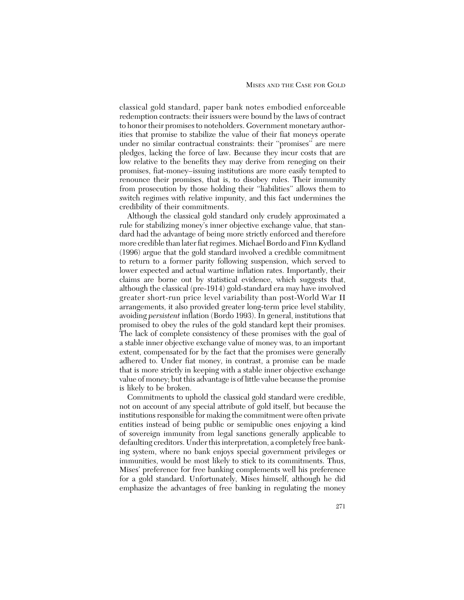classical gold standard, paper bank notes embodied enforceable redemption contracts: their issuers were bound by the laws of contract to honor their promises to noteholders. Government monetary authorities that promise to stabilize the value of their fiat moneys operate under no similar contractual constraints: their ''promises'' are mere pledges, lacking the force of law. Because they incur costs that are low relative to the benefits they may derive from reneging on their promises, fiat-money–issuing institutions are more easily tempted to renounce their promises, that is, to disobey rules. Their immunity from prosecution by those holding their ''liabilities'' allows them to switch regimes with relative impunity, and this fact undermines the credibility of their commitments.

Although the classical gold standard only crudely approximated a rule for stabilizing money's inner objective exchange value, that standard had the advantage of being more strictly enforced and therefore more credible than later fiat regimes. Michael Bordo and Finn Kydland (1996) argue that the gold standard involved a credible commitment to return to a former parity following suspension, which served to lower expected and actual wartime inflation rates. Importantly, their claims are borne out by statistical evidence, which suggests that, although the classical (pre-1914) gold-standard era may have involved greater short-run price level variability than post-World War II arrangements, it also provided greater long-term price level stability, avoiding *persistent* inflation (Bordo 1993). In general, institutions that promised to obey the rules of the gold standard kept their promises. The lack of complete consistency of these promises with the goal of a stable inner objective exchange value of money was, to an important extent, compensated for by the fact that the promises were generally adhered to. Under fiat money, in contrast, a promise can be made that is more strictly in keeping with a stable inner objective exchange value of money; but this advantage is of little value because the promise is likely to be broken.

Commitments to uphold the classical gold standard were credible, not on account of any special attribute of gold itself, but because the institutions responsible for making the commitment were often private entities instead of being public or semipublic ones enjoying a kind of sovereign immunity from legal sanctions generally applicable to defaulting creditors. Under this interpretation, a completely free banking system, where no bank enjoys special government privileges or immunities, would be most likely to stick to its commitments. Thus, Mises' preference for free banking complements well his preference for a gold standard. Unfortunately, Mises himself, although he did emphasize the advantages of free banking in regulating the money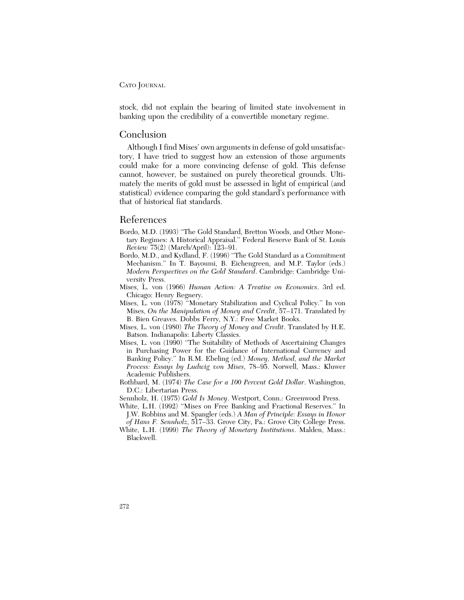#### CATO JOURNAL

stock, did not explain the bearing of limited state involvement in banking upon the credibility of a convertible monetary regime.

#### Conclusion

Although I find Mises' own arguments in defense of gold unsatisfactory, I have tried to suggest how an extension of those arguments could make for a more convincing defense of gold. This defense cannot, however, be sustained on purely theoretical grounds. Ultimately the merits of gold must be assessed in light of empirical (and statistical) evidence comparing the gold standard's performance with that of historical fiat standards.

## References

- Bordo, M.D. (1993) ''The Gold Standard, Bretton Woods, and Other Monetary Regimes: A Historical Appraisal.'' Federal Reserve Bank of St. Louis *Review* 75(2) (March/April): 123–91.
- Bordo, M.D., and Kydland, F. (1996) ''The Gold Standard as a Commitment Mechanism.'' In T. Bayoumi, B. Eichengreen, and M.P. Taylor (eds.) *Modern Perspectives on the Gold Standard*. Cambridge: Cambridge University Press.
- Mises, L. von (1966) *Human Action: A Treatise on Economics*. 3rd ed. Chicago: Henry Regnery.
- Mises, L. von (1978) ''Monetary Stabilization and Cyclical Policy.'' In von Mises, *On the Manipulation of Money and Credit*, 57–171. Translated by B. Bien Greaves. Dobbs Ferry, N.Y.: Free Market Books.
- Mises, L. von (1980) *The Theory of Money and Credit*. Translated by H.E. Batson. Indianapolis: Liberty Classics.
- Mises, L. von (1990) ''The Suitability of Methods of Ascertaining Changes in Purchasing Power for the Guidance of International Currency and Banking Policy.'' In R.M. Ebeling (ed.) *Money, Method, and the Market Process: Essays by Ludwig von Mises*, 78–95. Norwell, Mass.: Kluwer Academic Publishers.
- Rothbard, M. (1974) *The Case for a 100 Percent Gold Dollar*. Washington, D.C.: Libertarian Press.
- Sennholz, H. (1975) *Gold Is Money*. Westport, Conn.: Greenwood Press.
- White, L.H. (1992) ''Mises on Free Banking and Fractional Reserves.'' In J.W. Robbins and M. Spangler (eds.) *A Man of Principle: Essays in Honor of Hans F. Sennholz*, 517–33. Grove City, Pa.: Grove City College Press.
- White, L.H. (1999) *The Theory of Monetary Institutions*. Malden, Mass.: Blackwell.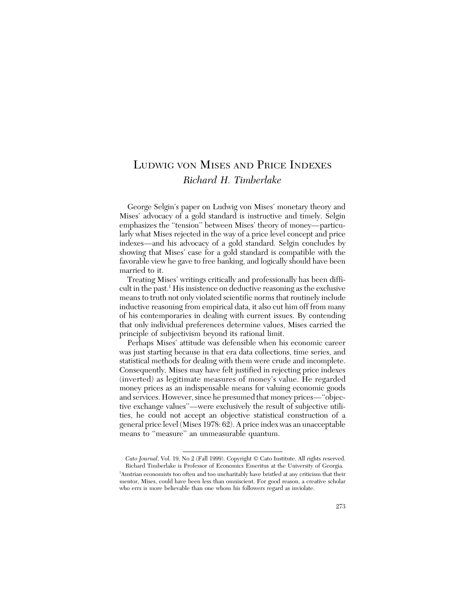# LUDWIG VON MISES AND PRICE INDEXES *Richard H. Timberlake*

George Selgin's paper on Ludwig von Mises' monetary theory and Mises' advocacy of a gold standard is instructive and timely. Selgin emphasizes the ''tension'' between Mises' theory of money—particularly what Mises rejected in the way of a price level concept and price indexes—and his advocacy of a gold standard. Selgin concludes by showing that Mises' case for a gold standard is compatible with the favorable view he gave to free banking, and logically should have been married to it.

Treating Mises' writings critically and professionally has been difficult in the past.<sup>1</sup> His insistence on deductive reasoning as the exclusive means to truth not only violated scientific norms that routinely include inductive reasoning from empirical data, it also cut him off from many of his contemporaries in dealing with current issues. By contending that only individual preferences determine values, Mises carried the principle of subjectivism beyond its rational limit.

Perhaps Mises' attitude was defensible when his economic career was just starting because in that era data collections, time series, and statistical methods for dealing with them were crude and incomplete. Consequently, Mises may have felt justified in rejecting price indexes (inverted) as legitimate measures of money's value. He regarded money prices as an indispensable means for valuing economic goods and services. However, since he presumed that money prices—''objective exchange values''—were exclusively the result of subjective utilities, he could not accept an objective statistical construction of a general price level (Mises 1978: 62). A price index was an unacceptable means to "measure" an unmeasurable quantum.

*Cato Journal*, Vol. 19, No 2 (Fall 1999). Copyright © Cato Institute. All rights reserved. Richard Timberlake is Professor of Economics Emeritus at the University of Georgia.

<sup>1</sup> Austrian economists too often and too uncharitably have bristled at any criticism that their mentor, Mises, could have been less than omniscient. For good reason, a creative scholar who errs is more believable than one whom his followers regard as inviolate.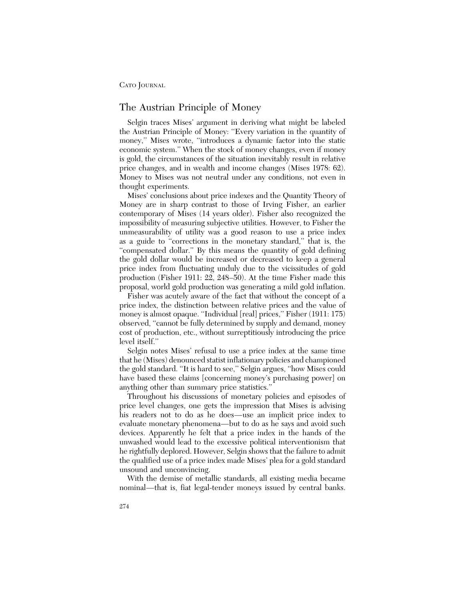### The Austrian Principle of Money

Selgin traces Mises' argument in deriving what might be labeled the Austrian Principle of Money: ''Every variation in the quantity of money,'' Mises wrote, ''introduces a dynamic factor into the static economic system.'' When the stock of money changes, even if money is gold, the circumstances of the situation inevitably result in relative price changes, and in wealth and income changes (Mises 1978: 62). Money to Mises was not neutral under any conditions, not even in thought experiments.

Mises' conclusions about price indexes and the Quantity Theory of Money are in sharp contrast to those of Irving Fisher, an earlier contemporary of Mises (14 years older). Fisher also recognized the impossibility of measuring subjective utilities. However, to Fisher the unmeasurability of utility was a good reason to use a price index as a guide to ''corrections in the monetary standard,'' that is, the ''compensated dollar.'' By this means the quantity of gold defining the gold dollar would be increased or decreased to keep a general price index from fluctuating unduly due to the vicissitudes of gold production (Fisher 1911: 22, 248–50). At the time Fisher made this proposal, world gold production was generating a mild gold inflation.

Fisher was acutely aware of the fact that without the concept of a price index, the distinction between relative prices and the value of money is almost opaque. "Individual [real] prices," Fisher (1911: 175) observed, ''cannot be fully determined by supply and demand, money cost of production, etc., without surreptitiously introducing the price level itself.''

Selgin notes Mises' refusal to use a price index at the same time that he (Mises) denounced statist inflationary policies and championed the gold standard. ''It is hard to see,'' Selgin argues, ''how Mises could have based these claims [concerning money's purchasing power] on anything other than summary price statistics.''

Throughout his discussions of monetary policies and episodes of price level changes, one gets the impression that Mises is advising his readers not to do as he does—use an implicit price index to evaluate monetary phenomena—but to do as he says and avoid such devices. Apparently he felt that a price index in the hands of the unwashed would lead to the excessive political interventionism that he rightfully deplored. However, Selgin shows that the failure to admit the qualified use of a price index made Mises' plea for a gold standard unsound and unconvincing.

With the demise of metallic standards, all existing media became nominal—that is, fiat legal-tender moneys issued by central banks.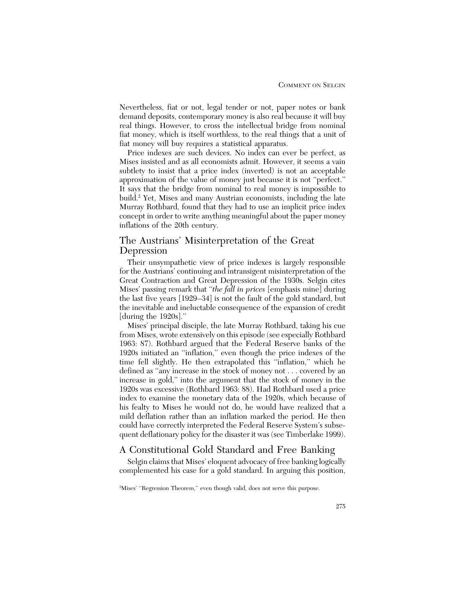Nevertheless, fiat or not, legal tender or not, paper notes or bank demand deposits, contemporary money is also real because it will buy real things. However, to cross the intellectual bridge from nominal fiat money, which is itself worthless, to the real things that a unit of fiat money will buy requires a statistical apparatus.

Price indexes are such devices. No index can ever be perfect, as Mises insisted and as all economists admit. However, it seems a vain subtlety to insist that a price index (inverted) is not an acceptable approximation of the value of money just because it is not ''perfect.'' It says that the bridge from nominal to real money is impossible to build.2 Yet, Mises and many Austrian economists, including the late Murray Rothbard, found that they had to use an implicit price index concept in order to write anything meaningful about the paper money inflations of the 20th century.

#### The Austrians' Misinterpretation of the Great Depression

Their unsympathetic view of price indexes is largely responsible for the Austrians' continuing and intransigent misinterpretation of the Great Contraction and Great Depression of the 1930s. Selgin cites Mises' passing remark that ''*the fall in prices* [emphasis mine] during the last five years [1929–34] is not the fault of the gold standard, but the inevitable and ineluctable consequence of the expansion of credit [during the 1920s].''

Mises' principal disciple, the late Murray Rothbard, taking his cue from Mises, wrote extensively on this episode (see especially Rothbard 1963: 87). Rothbard argued that the Federal Reserve banks of the 1920s initiated an ''inflation,'' even though the price indexes of the time fell slightly. He then extrapolated this ''inflation,'' which he defined as ''any increase in the stock of money not . . . covered by an increase in gold,'' into the argument that the stock of money in the 1920s was excessive (Rothbard 1963: 88). Had Rothbard used a price index to examine the monetary data of the 1920s, which because of his fealty to Mises he would not do, he would have realized that a mild deflation rather than an inflation marked the period. He then could have correctly interpreted the Federal Reserve System's subsequent deflationary policy for the disaster it was (see Timberlake 1999).

# A Constitutional Gold Standard and Free Banking

Selgin claims that Mises' eloquent advocacy of free banking logically complemented his case for a gold standard. In arguing this position,

<sup>2</sup> Mises' ''Regression Theorem,'' even though valid, does not serve this purpose.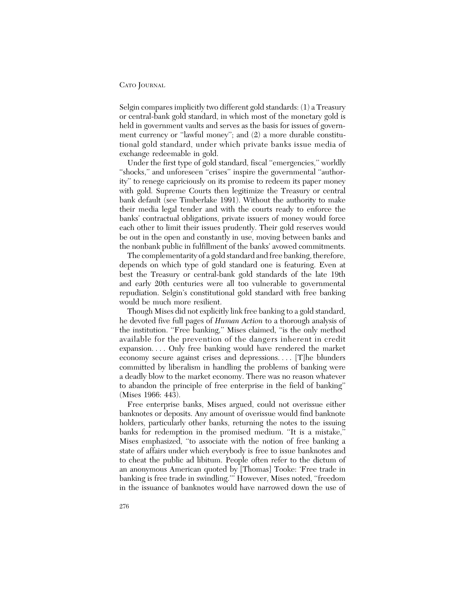Selgin compares implicitly two different gold standards: (1) a Treasury or central-bank gold standard, in which most of the monetary gold is held in government vaults and serves as the basis for issues of government currency or "lawful money"; and  $(2)$  a more durable constitutional gold standard, under which private banks issue media of exchange redeemable in gold.

Under the first type of gold standard, fiscal ''emergencies,'' worldly "shocks," and unforeseen "crises" inspire the governmental "authority'' to renege capriciously on its promise to redeem its paper money with gold. Supreme Courts then legitimize the Treasury or central bank default (see Timberlake 1991). Without the authority to make their media legal tender and with the courts ready to enforce the banks' contractual obligations, private issuers of money would force each other to limit their issues prudently. Their gold reserves would be out in the open and constantly in use, moving between banks and the nonbank public in fulfillment of the banks' avowed commitments.

The complementarity of a gold standard and free banking, therefore, depends on which type of gold standard one is featuring. Even at best the Treasury or central-bank gold standards of the late 19th and early 20th centuries were all too vulnerable to governmental repudiation. Selgin's constitutional gold standard with free banking would be much more resilient.

Though Mises did not explicitly link free banking to a gold standard, he devoted five full pages of *Human Action* to a thorough analysis of the institution. ''Free banking,'' Mises claimed, ''is the only method available for the prevention of the dangers inherent in credit expansion. . . . Only free banking would have rendered the market economy secure against crises and depressions.... [T]he blunders committed by liberalism in handling the problems of banking were a deadly blow to the market economy. There was no reason whatever to abandon the principle of free enterprise in the field of banking'' (Mises 1966: 443).

Free enterprise banks, Mises argued, could not overissue either banknotes or deposits. Any amount of overissue would find banknote holders, particularly other banks, returning the notes to the issuing banks for redemption in the promised medium. ''It is a mistake,'' Mises emphasized, ''to associate with the notion of free banking a state of affairs under which everybody is free to issue banknotes and to cheat the public ad libitum. People often refer to the dictum of an anonymous American quoted by [Thomas] Tooke: 'Free trade in banking is free trade in swindling.''' However, Mises noted, ''freedom in the issuance of banknotes would have narrowed down the use of